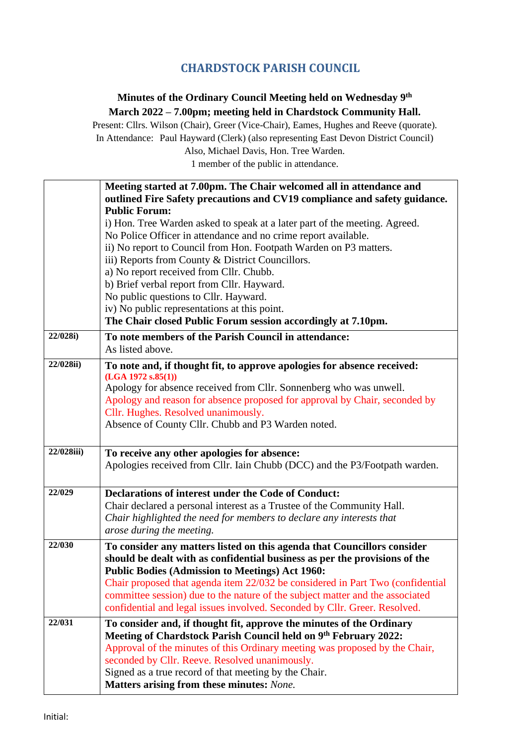## **CHARDSTOCK PARISH COUNCIL**

## **Minutes of the Ordinary Council Meeting held on Wednesday 9 th March 2022 – 7.00pm; meeting held in Chardstock Community Hall.**

Present: Cllrs. Wilson (Chair), Greer (Vice-Chair), Eames, Hughes and Reeve (quorate). In Attendance: Paul Hayward (Clerk) (also representing East Devon District Council) Also, Michael Davis, Hon. Tree Warden.

1 member of the public in attendance.

|            | Meeting started at 7.00pm. The Chair welcomed all in attendance and                                                                  |
|------------|--------------------------------------------------------------------------------------------------------------------------------------|
|            | outlined Fire Safety precautions and CV19 compliance and safety guidance.                                                            |
|            | <b>Public Forum:</b>                                                                                                                 |
|            | i) Hon. Tree Warden asked to speak at a later part of the meeting. Agreed.                                                           |
|            | No Police Officer in attendance and no crime report available.                                                                       |
|            | ii) No report to Council from Hon. Footpath Warden on P3 matters.                                                                    |
|            | iii) Reports from County & District Councillors.                                                                                     |
|            | a) No report received from Cllr. Chubb.                                                                                              |
|            | b) Brief verbal report from Cllr. Hayward.                                                                                           |
|            | No public questions to Cllr. Hayward.                                                                                                |
|            | iv) No public representations at this point.                                                                                         |
|            | The Chair closed Public Forum session accordingly at 7.10pm.                                                                         |
| 22/028i)   | To note members of the Parish Council in attendance:                                                                                 |
|            | As listed above.                                                                                                                     |
| 22/028ii)  | To note and, if thought fit, to approve apologies for absence received:                                                              |
|            | (LGA 1972 s.85(1))                                                                                                                   |
|            | Apology for absence received from Cllr. Sonnenberg who was unwell.                                                                   |
|            | Apology and reason for absence proposed for approval by Chair, seconded by                                                           |
|            | Cllr. Hughes. Resolved unanimously.                                                                                                  |
|            | Absence of County Cllr. Chubb and P3 Warden noted.                                                                                   |
|            |                                                                                                                                      |
| 22/028iii) | To receive any other apologies for absence:                                                                                          |
|            | Apologies received from Cllr. Iain Chubb (DCC) and the P3/Footpath warden.                                                           |
|            |                                                                                                                                      |
| 22/029     | Declarations of interest under the Code of Conduct:                                                                                  |
|            | Chair declared a personal interest as a Trustee of the Community Hall.                                                               |
|            | Chair highlighted the need for members to declare any interests that                                                                 |
|            | arose during the meeting.                                                                                                            |
| 22/030     |                                                                                                                                      |
|            | To consider any matters listed on this agenda that Councillors consider                                                              |
|            | should be dealt with as confidential business as per the provisions of the<br><b>Public Bodies (Admission to Meetings) Act 1960:</b> |
|            | Chair proposed that agenda item 22/032 be considered in Part Two (confidential                                                       |
|            | committee session) due to the nature of the subject matter and the associated                                                        |
|            | confidential and legal issues involved. Seconded by Cllr. Greer. Resolved.                                                           |
|            |                                                                                                                                      |
|            |                                                                                                                                      |
| 22/031     | To consider and, if thought fit, approve the minutes of the Ordinary                                                                 |
|            | Meeting of Chardstock Parish Council held on 9th February 2022:                                                                      |
|            | Approval of the minutes of this Ordinary meeting was proposed by the Chair,                                                          |
|            | seconded by Cllr. Reeve. Resolved unanimously.                                                                                       |
|            | Signed as a true record of that meeting by the Chair.<br>Matters arising from these minutes: None.                                   |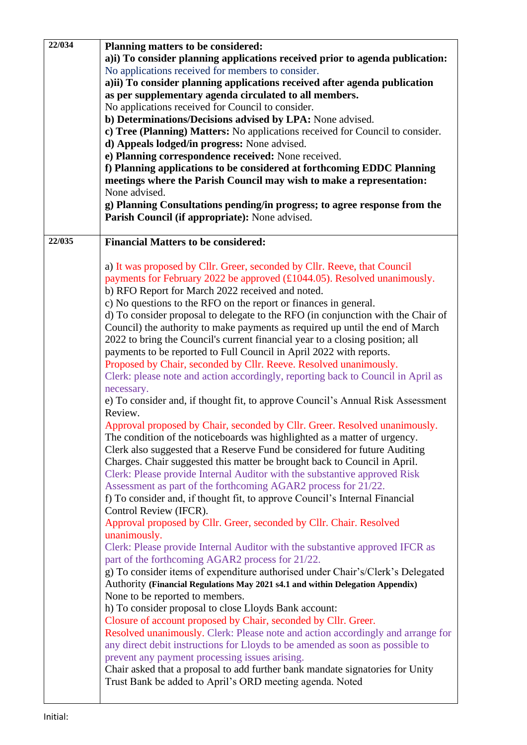| 22/034 | Planning matters to be considered:                                               |
|--------|----------------------------------------------------------------------------------|
|        | a)i) To consider planning applications received prior to agenda publication:     |
|        | No applications received for members to consider.                                |
|        | a)ii) To consider planning applications received after agenda publication        |
|        |                                                                                  |
|        | as per supplementary agenda circulated to all members.                           |
|        | No applications received for Council to consider.                                |
|        | b) Determinations/Decisions advised by LPA: None advised.                        |
|        | c) Tree (Planning) Matters: No applications received for Council to consider.    |
|        | d) Appeals lodged/in progress: None advised.                                     |
|        | e) Planning correspondence received: None received.                              |
|        | f) Planning applications to be considered at forthcoming EDDC Planning           |
|        | meetings where the Parish Council may wish to make a representation:             |
|        |                                                                                  |
|        | None advised.                                                                    |
|        | g) Planning Consultations pending/in progress; to agree response from the        |
|        | Parish Council (if appropriate): None advised.                                   |
|        |                                                                                  |
| 22/035 | <b>Financial Matters to be considered:</b>                                       |
|        |                                                                                  |
|        | a) It was proposed by Cllr. Greer, seconded by Cllr. Reeve, that Council         |
|        | payments for February 2022 be approved (£1044.05). Resolved unanimously.         |
|        | b) RFO Report for March 2022 received and noted.                                 |
|        |                                                                                  |
|        | c) No questions to the RFO on the report or finances in general.                 |
|        | d) To consider proposal to delegate to the RFO (in conjunction with the Chair of |
|        | Council) the authority to make payments as required up until the end of March    |
|        | 2022 to bring the Council's current financial year to a closing position; all    |
|        | payments to be reported to Full Council in April 2022 with reports.              |
|        | Proposed by Chair, seconded by Cllr. Reeve. Resolved unanimously.                |
|        | Clerk: please note and action accordingly, reporting back to Council in April as |
|        | necessary.                                                                       |
|        | e) To consider and, if thought fit, to approve Council's Annual Risk Assessment  |
|        |                                                                                  |
|        | Review.                                                                          |
|        | Approval proposed by Chair, seconded by Cllr. Greer. Resolved unanimously.       |
|        | The condition of the noticeboards was highlighted as a matter of urgency.        |
|        | Clerk also suggested that a Reserve Fund be considered for future Auditing       |
|        | Charges. Chair suggested this matter be brought back to Council in April.        |
|        | Clerk: Please provide Internal Auditor with the substantive approved Risk        |
|        | Assessment as part of the forthcoming AGAR2 process for 21/22.                   |
|        | f) To consider and, if thought fit, to approve Council's Internal Financial      |
|        | Control Review (IFCR).                                                           |
|        |                                                                                  |
|        | Approval proposed by Cllr. Greer, seconded by Cllr. Chair. Resolved              |
|        | unanimously.                                                                     |
|        | Clerk: Please provide Internal Auditor with the substantive approved IFCR as     |
|        | part of the forthcoming AGAR2 process for 21/22.                                 |
|        | g) To consider items of expenditure authorised under Chair's/Clerk's Delegated   |
|        | Authority (Financial Regulations May 2021 s4.1 and within Delegation Appendix)   |
|        | None to be reported to members.                                                  |
|        | h) To consider proposal to close Lloyds Bank account:                            |
|        |                                                                                  |
|        | Closure of account proposed by Chair, seconded by Cllr. Greer.                   |
|        | Resolved unanimously. Clerk: Please note and action accordingly and arrange for  |
|        | any direct debit instructions for Lloyds to be amended as soon as possible to    |
|        | prevent any payment processing issues arising.                                   |
|        | Chair asked that a proposal to add further bank mandate signatories for Unity    |
|        | Trust Bank be added to April's ORD meeting agenda. Noted                         |
|        |                                                                                  |
|        |                                                                                  |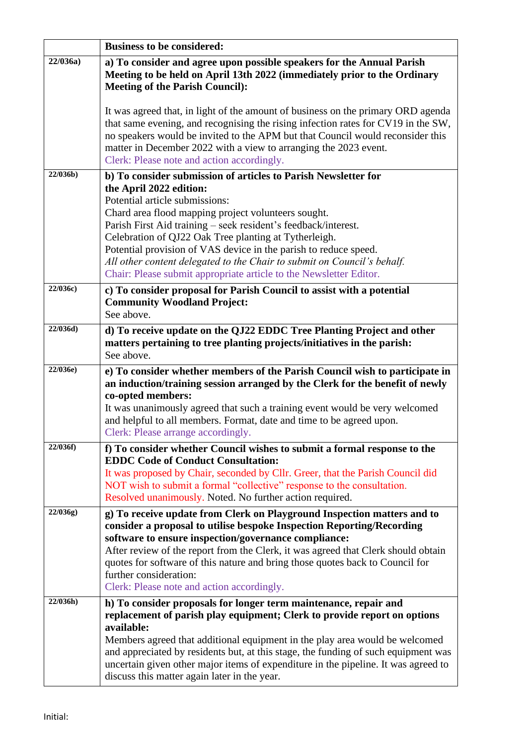|          | <b>Business to be considered:</b>                                                                                                                                                                                                                                                                                                                                         |
|----------|---------------------------------------------------------------------------------------------------------------------------------------------------------------------------------------------------------------------------------------------------------------------------------------------------------------------------------------------------------------------------|
| 22/036a  | a) To consider and agree upon possible speakers for the Annual Parish<br>Meeting to be held on April 13th 2022 (immediately prior to the Ordinary<br><b>Meeting of the Parish Council):</b>                                                                                                                                                                               |
|          | It was agreed that, in light of the amount of business on the primary ORD agenda<br>that same evening, and recognising the rising infection rates for CV19 in the SW,<br>no speakers would be invited to the APM but that Council would reconsider this<br>matter in December 2022 with a view to arranging the 2023 event.<br>Clerk: Please note and action accordingly. |
| 22/036b) | b) To consider submission of articles to Parish Newsletter for                                                                                                                                                                                                                                                                                                            |
|          | the April 2022 edition:                                                                                                                                                                                                                                                                                                                                                   |
|          | Potential article submissions:                                                                                                                                                                                                                                                                                                                                            |
|          | Chard area flood mapping project volunteers sought.                                                                                                                                                                                                                                                                                                                       |
|          | Parish First Aid training – seek resident's feedback/interest.                                                                                                                                                                                                                                                                                                            |
|          | Celebration of QJ22 Oak Tree planting at Tytherleigh.<br>Potential provision of VAS device in the parish to reduce speed.                                                                                                                                                                                                                                                 |
|          | All other content delegated to the Chair to submit on Council's behalf.                                                                                                                                                                                                                                                                                                   |
|          | Chair: Please submit appropriate article to the Newsletter Editor.                                                                                                                                                                                                                                                                                                        |
| 22/036c) | c) To consider proposal for Parish Council to assist with a potential                                                                                                                                                                                                                                                                                                     |
|          | <b>Community Woodland Project:</b>                                                                                                                                                                                                                                                                                                                                        |
|          | See above.                                                                                                                                                                                                                                                                                                                                                                |
| 22/036d) | d) To receive update on the QJ22 EDDC Tree Planting Project and other                                                                                                                                                                                                                                                                                                     |
|          | matters pertaining to tree planting projects/initiatives in the parish:                                                                                                                                                                                                                                                                                                   |
|          | See above.                                                                                                                                                                                                                                                                                                                                                                |
| 22/036e) | e) To consider whether members of the Parish Council wish to participate in<br>an induction/training session arranged by the Clerk for the benefit of newly<br>co-opted members:<br>It was unanimously agreed that such a training event would be very welcomed                                                                                                           |
|          | and helpful to all members. Format, date and time to be agreed upon.<br>Clerk: Please arrange accordingly.                                                                                                                                                                                                                                                                |
| 22/036f) | f) To consider whether Council wishes to submit a formal response to the<br><b>EDDC Code of Conduct Consultation:</b>                                                                                                                                                                                                                                                     |
|          | It was proposed by Chair, seconded by Cllr. Greer, that the Parish Council did                                                                                                                                                                                                                                                                                            |
|          | NOT wish to submit a formal "collective" response to the consultation.                                                                                                                                                                                                                                                                                                    |
|          | Resolved unanimously. Noted. No further action required.                                                                                                                                                                                                                                                                                                                  |
| 22/036g) | g) To receive update from Clerk on Playground Inspection matters and to<br>consider a proposal to utilise bespoke Inspection Reporting/Recording<br>software to ensure inspection/governance compliance:                                                                                                                                                                  |
|          | After review of the report from the Clerk, it was agreed that Clerk should obtain                                                                                                                                                                                                                                                                                         |
|          | quotes for software of this nature and bring those quotes back to Council for                                                                                                                                                                                                                                                                                             |
|          | further consideration:                                                                                                                                                                                                                                                                                                                                                    |
|          | Clerk: Please note and action accordingly.                                                                                                                                                                                                                                                                                                                                |
| 22/036h) | h) To consider proposals for longer term maintenance, repair and                                                                                                                                                                                                                                                                                                          |
|          | replacement of parish play equipment; Clerk to provide report on options<br>available:                                                                                                                                                                                                                                                                                    |
|          | Members agreed that additional equipment in the play area would be welcomed<br>and appreciated by residents but, at this stage, the funding of such equipment was<br>uncertain given other major items of expenditure in the pipeline. It was agreed to<br>discuss this matter again later in the year.                                                                   |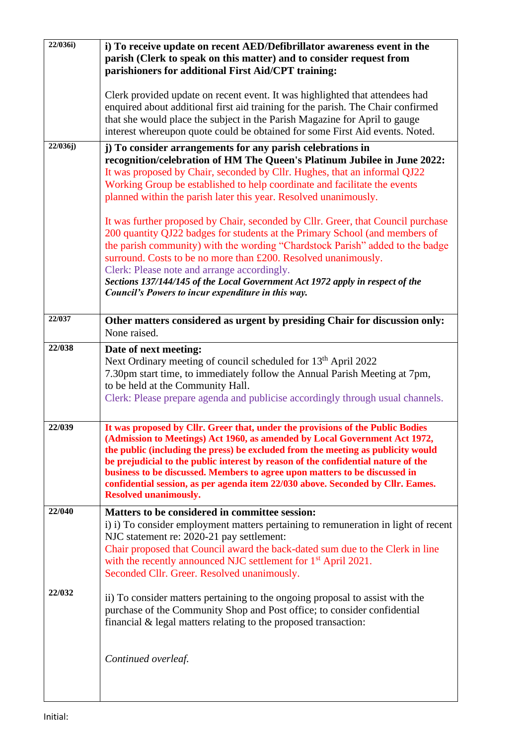| 22/036i) | i) To receive update on recent AED/Defibrillator awareness event in the<br>parish (Clerk to speak on this matter) and to consider request from<br>parishioners for additional First Aid/CPT training:                                                                                                                                                                                                                                                                                                                                  |
|----------|----------------------------------------------------------------------------------------------------------------------------------------------------------------------------------------------------------------------------------------------------------------------------------------------------------------------------------------------------------------------------------------------------------------------------------------------------------------------------------------------------------------------------------------|
|          | Clerk provided update on recent event. It was highlighted that attendees had<br>enquired about additional first aid training for the parish. The Chair confirmed<br>that she would place the subject in the Parish Magazine for April to gauge<br>interest whereupon quote could be obtained for some First Aid events. Noted.                                                                                                                                                                                                         |
| 22/036j) | j) To consider arrangements for any parish celebrations in<br>recognition/celebration of HM The Queen's Platinum Jubilee in June 2022:<br>It was proposed by Chair, seconded by Cllr. Hughes, that an informal QJ22<br>Working Group be established to help coordinate and facilitate the events<br>planned within the parish later this year. Resolved unanimously.                                                                                                                                                                   |
|          | It was further proposed by Chair, seconded by Cllr. Greer, that Council purchase<br>200 quantity QJ22 badges for students at the Primary School (and members of<br>the parish community) with the wording "Chardstock Parish" added to the badge<br>surround. Costs to be no more than £200. Resolved unanimously.<br>Clerk: Please note and arrange accordingly.<br>Sections 137/144/145 of the Local Government Act 1972 apply in respect of the<br>Council's Powers to incur expenditure in this way.                               |
| 22/037   | Other matters considered as urgent by presiding Chair for discussion only:<br>None raised.                                                                                                                                                                                                                                                                                                                                                                                                                                             |
| 22/038   | Date of next meeting:<br>Next Ordinary meeting of council scheduled for 13 <sup>th</sup> April 2022<br>7.30pm start time, to immediately follow the Annual Parish Meeting at 7pm,<br>to be held at the Community Hall.<br>Clerk: Please prepare agenda and publicise accordingly through usual channels.                                                                                                                                                                                                                               |
| 22/039   | It was proposed by Cllr. Greer that, under the provisions of the Public Bodies<br>(Admission to Meetings) Act 1960, as amended by Local Government Act 1972,<br>the public (including the press) be excluded from the meeting as publicity would<br>be prejudicial to the public interest by reason of the confidential nature of the<br>business to be discussed. Members to agree upon matters to be discussed in<br>confidential session, as per agenda item 22/030 above. Seconded by Cllr. Eames.<br><b>Resolved unanimously.</b> |
| 22/040   | Matters to be considered in committee session:<br>i) i) To consider employment matters pertaining to remuneration in light of recent<br>NJC statement re: 2020-21 pay settlement:<br>Chair proposed that Council award the back-dated sum due to the Clerk in line<br>with the recently announced NJC settlement for 1 <sup>st</sup> April 2021.<br>Seconded Cllr. Greer. Resolved unanimously.                                                                                                                                        |
| 22/032   | ii) To consider matters pertaining to the ongoing proposal to assist with the<br>purchase of the Community Shop and Post office; to consider confidential<br>financial & legal matters relating to the proposed transaction:                                                                                                                                                                                                                                                                                                           |
|          | Continued overleaf.                                                                                                                                                                                                                                                                                                                                                                                                                                                                                                                    |

 $\mathsf{I}$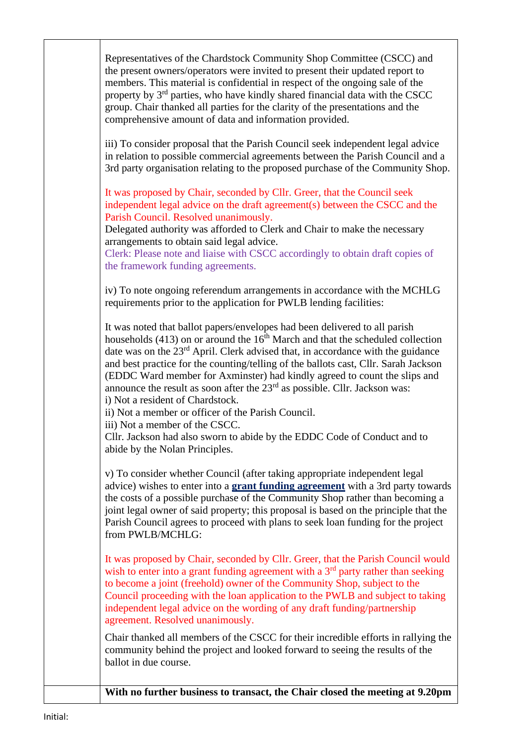Representatives of the Chardstock Community Shop Committee (CSCC) and the present owners/operators were invited to present their updated report to members. This material is confidential in respect of the ongoing sale of the property by 3rd parties, who have kindly shared financial data with the CSCC group. Chair thanked all parties for the clarity of the presentations and the comprehensive amount of data and information provided.

iii) To consider proposal that the Parish Council seek independent legal advice in relation to possible commercial agreements between the Parish Council and a 3rd party organisation relating to the proposed purchase of the Community Shop.

It was proposed by Chair, seconded by Cllr. Greer, that the Council seek independent legal advice on the draft agreement(s) between the CSCC and the Parish Council. Resolved unanimously.

Delegated authority was afforded to Clerk and Chair to make the necessary arrangements to obtain said legal advice.

Clerk: Please note and liaise with CSCC accordingly to obtain draft copies of the framework funding agreements.

iv) To note ongoing referendum arrangements in accordance with the MCHLG requirements prior to the application for PWLB lending facilities:

It was noted that ballot papers/envelopes had been delivered to all parish households (413) on or around the  $16<sup>th</sup>$  March and that the scheduled collection date was on the 23<sup>rd</sup> April. Clerk advised that, in accordance with the guidance and best practice for the counting/telling of the ballots cast, Cllr. Sarah Jackson (EDDC Ward member for Axminster) had kindly agreed to count the slips and announce the result as soon after the  $23<sup>rd</sup>$  as possible. Cllr. Jackson was: i) Not a resident of Chardstock.

ii) Not a member or officer of the Parish Council.

iii) Not a member of the CSCC.

Cllr. Jackson had also sworn to abide by the EDDC Code of Conduct and to abide by the Nolan Principles.

v) To consider whether Council (after taking appropriate independent legal advice) wishes to enter into a **grant funding agreement** with a 3rd party towards the costs of a possible purchase of the Community Shop rather than becoming a joint legal owner of said property; this proposal is based on the principle that the Parish Council agrees to proceed with plans to seek loan funding for the project from PWLB/MCHLG:

It was proposed by Chair, seconded by Cllr. Greer, that the Parish Council would wish to enter into a grant funding agreement with a  $3<sup>rd</sup>$  party rather than seeking to become a joint (freehold) owner of the Community Shop, subject to the Council proceeding with the loan application to the PWLB and subject to taking independent legal advice on the wording of any draft funding/partnership agreement. Resolved unanimously.

Chair thanked all members of the CSCC for their incredible efforts in rallying the community behind the project and looked forward to seeing the results of the ballot in due course.

**With no further business to transact, the Chair closed the meeting at 9.20pm**